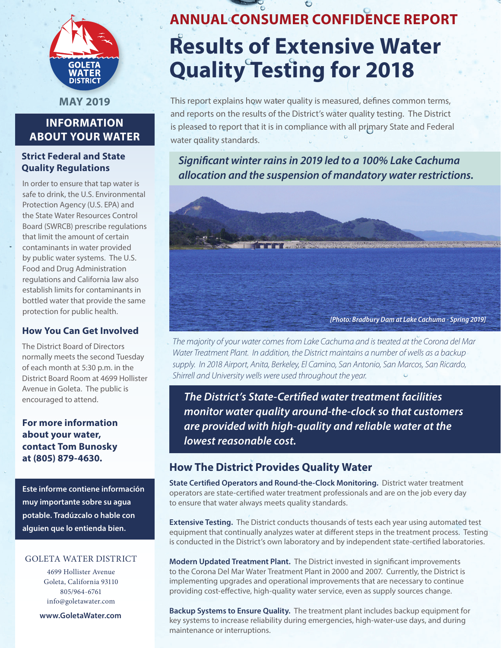

**MAY 2019**

# **INFORMATION ABOUT YOUR WATER**

## **Strict Federal and State Quality Regulations**

In order to ensure that tap water is safe to drink, the U.S. Environmental Protection Agency (U.S. EPA) and the State Water Resources Control Board (SWRCB) prescribe regulations that limit the amount of certain contaminants in water provided by public water systems. The U.S. Food and Drug Administration regulations and California law also establish limits for contaminants in bottled water that provide the same protection for public health.

## **How You Can Get Involved**

The District Board of Directors normally meets the second Tuesday of each month at 5:30 p.m. in the District Board Room at 4699 Hollister Avenue in Goleta. The public is encouraged to attend.

**For more information about your water, contact Tom Bunosky at (805) 879-4630.**

**Este informe contiene información muy importante sobre su agua potable. Tradúzcalo o hable con alguien que lo entienda bien.**

#### GOLETA WATER DISTRICT

4699 Hollister Avenue Goleta, California 93110 805/964-6761 info@goletawater.com

**www.GoletaWater.com**

# **ANNUAL CONSUMER CONFIDENCE REPORT Results of Extensive Water Quality Testing for 2018**

This report explains how water quality is measured, defines common terms, and reports on the results of the District's water quality testing. The District is pleased to report that it is in compliance with all primary State and Federal water quality standards.

*Significant winter rains in 2019 led to a 100% Lake Cachuma allocation and the suspension of mandatory water restrictions.* 



*The majority of your water comes from Lake Cachuma and is treated at the Corona del Mar Water Treatment Plant. In addition, the District maintains a number of wells as a backup supply. In 2018 Airport, Anita, Berkeley, El Camino, San Antonio, San Marcos, San Ricardo, Shirrell and University wells were used throughout the year.*

*The District's State-Certified water treatment facilities monitor water quality around-the-clock so that customers are provided with high-quality and reliable water at the lowest reasonable cost.*

# **How The District Provides Quality Water**

**State Certified Operators and Round-the-Clock Monitoring.** District water treatment operators are state-certified water treatment professionals and are on the job every day to ensure that water always meets quality standards.

**Extensive Testing.** The District conducts thousands of tests each year using automated test equipment that continually analyzes water at different steps in the treatment process. Testing is conducted in the District's own laboratory and by independent state-certified laboratories.

**Modern Updated Treatment Plant.** The District invested in significant improvements to the Corona Del Mar Water Treatment Plant in 2000 and 2007. Currently, the District is implementing upgrades and operational improvements that are necessary to continue providing cost-effective, high-quality water service, even as supply sources change.

**Backup Systems to Ensure Quality.** The treatment plant includes backup equipment for key systems to increase reliability during emergencies, high-water-use days, and during maintenance or interruptions.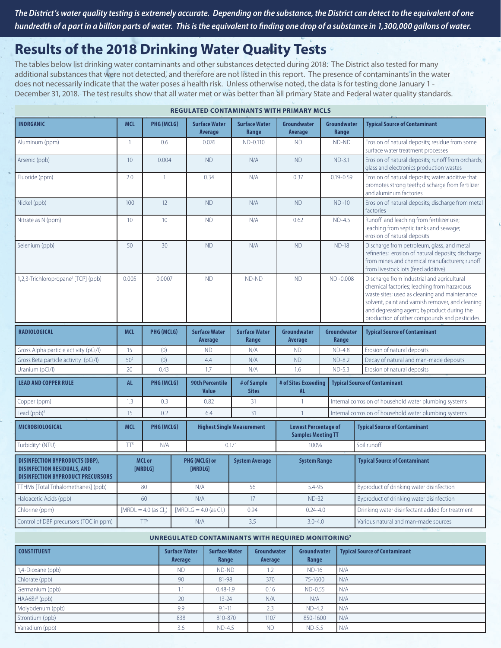*The District's water quality testing is extremely accurate. Depending on the substance, the District can detect to the equivalent of one hundredth of a part in a billion parts of water. This is the equivalent to finding one drop of a substance in 1,300,000 gallons of water.*

# **Results of the 2018 Drinking Water Quality Tests**

The tables below list drinking water contaminants and other substances detected during 2018. The District also tested for many additional substances that were not detected, and therefore are not listed in this report. The presence of contaminants in the water does not necessarily indicate that the water poses a health risk. Unless otherwise noted, the data is for testing done January 1 - December 31, 2018. The test results show that all water met or was better than all primary State and Federal water quality standards.

| <b>INORGANIC</b>                                                                                                        | <b>MCL</b>      | <b>PHG (MCLG)</b>        |  | <b>Surface Water</b><br>Average        | <b>Surface Water</b><br>Range     | Groundwater<br>Average                                   |  | Groundwater<br>Range | <b>Typical Source of Contaminant</b>                                                                                                                                                                                                         |
|-------------------------------------------------------------------------------------------------------------------------|-----------------|--------------------------|--|----------------------------------------|-----------------------------------|----------------------------------------------------------|--|----------------------|----------------------------------------------------------------------------------------------------------------------------------------------------------------------------------------------------------------------------------------------|
| Aluminum (ppm)                                                                                                          | $\mathbf{1}$    | 0.6                      |  | 0.076                                  | ND-0.110                          | <b>ND</b>                                                |  | ND-ND                | Erosion of natural deposits; residue from some<br>surface water treatment processes                                                                                                                                                          |
| Arsenic (ppb)                                                                                                           | 10              | 0.004                    |  | <b>ND</b>                              | N/A                               | <b>ND</b>                                                |  | $ND-3.1$             | Erosion of natural deposits; runoff from orchards;<br>glass and electronics production wastes                                                                                                                                                |
| Fluoride (ppm)                                                                                                          | 2.0             | $\mathbf{1}$             |  | 0.34                                   | N/A                               | 0.37                                                     |  | $0.19 - 0.59$        | Erosion of natural deposits; water additive that<br>promotes strong teeth; discharge from fertilizer<br>and aluminum factories                                                                                                               |
| Nickel (ppb)                                                                                                            | 100             | 12                       |  | <b>ND</b>                              | N/A                               | <b>ND</b>                                                |  | $ND -10$             | Erosion of natural deposits; discharge from metal<br>factories                                                                                                                                                                               |
| Nitrate as N (ppm)                                                                                                      | 10              | 10                       |  | <b>ND</b>                              | N/A                               | 0.62                                                     |  | $ND-4.5$             | Runoff and leaching from fertilizer use;<br>leaching from septic tanks and sewage;<br>erosion of natural deposits                                                                                                                            |
| Selenium (ppb)                                                                                                          | 50              | 30 <sup>°</sup>          |  | <b>ND</b>                              | N/A                               | <b>ND</b>                                                |  | $ND-18$              | Discharge from petroleum, glass, and metal<br>refineries; erosion of natural deposits; discharge<br>from mines and chemical manufacturers; runoff<br>from livestock lots (feed additive)                                                     |
| 1,2,3-Trichloropropane <sup>1</sup> [TCP] (ppb)                                                                         | 0.005           | 0.0007                   |  | <b>ND</b>                              | ND-ND                             | <b>ND</b>                                                |  | ND-0.008             | Discharge from industrial and agricultural<br>chemical factories; leaching from hazardous<br>waste sites; used as cleaning and maintenance<br>solvent, paint and varnish remover, and cleaning<br>and degreasing agent; byproduct during the |
|                                                                                                                         |                 |                          |  |                                        |                                   |                                                          |  |                      | production of other compounds and pesticides                                                                                                                                                                                                 |
| <b>RADIOLOGICAL</b>                                                                                                     | <b>MCL</b>      | PHG (MCLG)               |  | <b>Surface Water</b><br>Average        | <b>Surface Water</b><br>Range     | Groundwater<br>Average                                   |  | Groundwater<br>Range | <b>Typical Source of Contaminant</b>                                                                                                                                                                                                         |
| Gross Alpha particle activity (pCi/l)                                                                                   | 15              | (0)                      |  | <b>ND</b>                              | N/A                               | <b>ND</b>                                                |  | <b>ND-4.8</b>        | Erosion of natural deposits                                                                                                                                                                                                                  |
| Gross Beta particle activity (pCi/l)                                                                                    | 50 <sup>2</sup> | (0)                      |  | 4.4                                    | N/A                               | <b>ND</b>                                                |  | $ND-8.2$             | Decay of natural and man-made deposits                                                                                                                                                                                                       |
| Uranium (pCi/l)                                                                                                         | 20              | 0.43                     |  | 1.7                                    | N/A                               | 1.6                                                      |  | $ND-5.3$             | Erosion of natural deposits                                                                                                                                                                                                                  |
| <b>LEAD AND COPPER RULE</b>                                                                                             | <b>AL</b>       | PHG (MCLG)               |  | <b>90th Percentile</b><br><b>Value</b> | # of Sample<br><b>Sites</b>       | # of Sites Exceeding<br>AL.                              |  |                      | <b>Typical Source of Contaminant</b>                                                                                                                                                                                                         |
| Copper (ppm)                                                                                                            | 1.3             | 0.3                      |  | 0.82                                   | 31                                | $\mathbf{1}$                                             |  |                      | Internal corrosion of household water plumbing systems                                                                                                                                                                                       |
| Lead $(ppb)^3$                                                                                                          | 15              | 0.2                      |  | 6.4                                    | 31                                | $\overline{1}$                                           |  |                      | Internal corrosion of household water plumbing systems                                                                                                                                                                                       |
| <b>MICROBIOLOGICAL</b>                                                                                                  | <b>MCL</b>      | PHG (MCLG)               |  |                                        | <b>Highest Single Measurement</b> | <b>Lowest Percentage of</b><br><b>Samples Meeting TT</b> |  |                      | <b>Typical Source of Contaminant</b>                                                                                                                                                                                                         |
| Turbidity <sup>4</sup> (NTU)                                                                                            | TT <sup>5</sup> | N/A                      |  |                                        | 0.171                             | 100%                                                     |  |                      | Soil runoff                                                                                                                                                                                                                                  |
| <b>DISINFECTION BYPRODUCTS (DBP),</b><br><b>DISINFECTION RESIDUALS, AND</b><br><b>DISINFECTION BYPRODUCT PRECURSORS</b> |                 | <b>MCL or</b><br>[MRDLG] |  | PHG (MCLG) or<br>[MRDLG]               | <b>System Average</b>             | <b>System Range</b>                                      |  |                      | <b>Typical Source of Contaminant</b>                                                                                                                                                                                                         |
| TTHMs [Total Trihalomethanes] (ppb)                                                                                     |                 | 80                       |  | N/A                                    | 56                                | 5.4-95                                                   |  |                      | Byproduct of drinking water disinfection                                                                                                                                                                                                     |
| Haloacetic Acids (ppb)                                                                                                  |                 | 60                       |  | N/A                                    | 17                                | $ND-32$                                                  |  |                      | Byproduct of drinking water disinfection                                                                                                                                                                                                     |
| Chlorine (ppm)                                                                                                          |                 | $[MRDL = 4.0$ (as Cl.)   |  | [MRDLG = $4.0$ (as Cl.)                | 0.94                              | $0.24 - 4.0$                                             |  |                      | Drinking water disinfectant added for treatment                                                                                                                                                                                              |

**REGULATED CONTAMINANTS WITH PRIMARY MCLS**

#### **UNREGULATED CONTAMINANTS WITH REQUIRED MONITORING7**

| <b>CONSTITUENT</b>        | <b>Surface Water</b><br>Average | <b>Surface Water</b><br>Range | Groundwater<br>Average   | Groundwater<br>Range | <b>Typical Source of Contaminant</b> |
|---------------------------|---------------------------------|-------------------------------|--------------------------|----------------------|--------------------------------------|
| 1,4-Dioxane (ppb)         | <b>ND</b>                       | ND-ND                         | $\overline{\phantom{a}}$ | $ND-16$              | I N/A                                |
| Chlorate (ppb)            | 90                              | 81-98                         | 370                      | 75-1600              | N/A                                  |
| Germanium (ppb)           | 1.1                             | $0.48 - 1.9$                  | 0.16                     | ND-0.55              | I N/A                                |
| HAA6Br <sup>8</sup> (ppb) | 20                              | $13 - 24$                     | N/A                      | N/A                  | N/A                                  |
| Molybdenum (ppb)          | 9.9                             | $9.1 - 11$                    | 2.3                      | $ND-4.2$             | N/A                                  |
| Strontium (ppb)           | 838                             | 810-870                       | 1107                     | 850-1600             | N/A                                  |
| Vanadium (ppb)            | 3.6                             | $ND-4.5$                      | <b>ND</b>                | $ND-5.5$             | N/A                                  |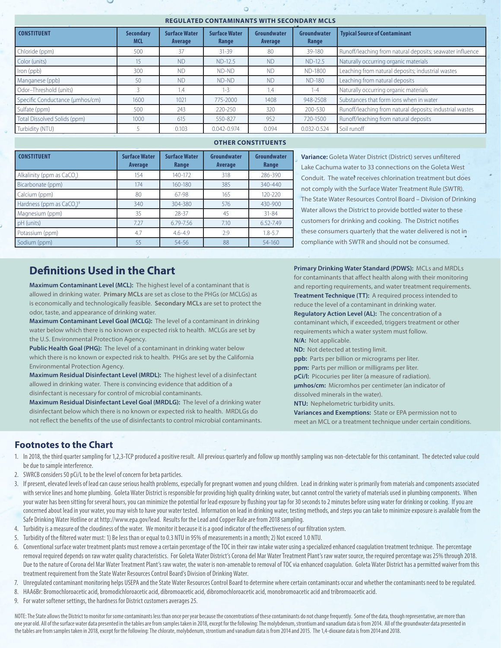#### **REGULATED CONTAMINANTS WITH SECONDARY MCLS**

| <b>CONSTITUENT</b>              | <b>Secondary</b><br><b>MCL</b> | <b>Surface Water</b><br>Average | <b>Surface Water</b><br>Range | Groundwater<br>Average | Groundwater<br>Range | <b>Typical Source of Contaminant</b>                      |
|---------------------------------|--------------------------------|---------------------------------|-------------------------------|------------------------|----------------------|-----------------------------------------------------------|
| Chloride (ppm)                  | 500                            | 37                              | $31 - 39$                     | 80                     | 39-180               | Runoff/leaching from natural deposits; seawater influence |
| Color (units)                   | 15                             | <b>ND</b>                       | ND-12.5                       | <b>ND</b>              | $ND-12.5$            | Naturally occurring organic materials                     |
| Iron (ppb)                      | 300                            | <b>ND</b>                       | ND-ND                         | <b>ND</b>              | ND-1800              | Leaching from natural deposits; industrial wastes         |
| Manganese (ppb)                 | 50                             | <b>ND</b>                       | ND-ND                         | <b>ND</b>              | <b>ND-180</b>        | Leaching from natural deposits                            |
| Odor-Threshold (units)          |                                | 1.4                             | $1 - 3$                       | 1.4                    | $1 - 4$              | Naturally occurring organic materials                     |
| Specific Conductance (µmhos/cm) | 1600                           | 1021                            | 775-2000                      | 1408                   | 948-2508             | Substances that form ions when in water                   |
| Sulfate (ppm)                   | 500                            | 243                             | 220-250                       | 320                    | 200-530              | Runoff/leaching from natural deposits; industrial wastes  |
| Total Dissolved Solids (ppm)    | 1000                           | 615                             | 550-827                       | 952                    | 720-1500             | Runoff/leaching from natural deposits                     |
| Turbidity (NTU)                 |                                | 0.103                           | $0.042 - 0.974$               | 0.094                  | $0.032 - 0.524$      | Soil runoff                                               |

#### **OTHER CONSTITUENTS**

| <b>CONSTITUENT</b>                                | <b>Surface Water</b><br><b>Average</b> | <b>Surface Water</b><br>Range | Groundwater<br>Average | Groundwater<br>Range |
|---------------------------------------------------|----------------------------------------|-------------------------------|------------------------|----------------------|
| Alkalinity (ppm as CaCO.)                         | 154                                    | 140-172                       | 318                    | 286-390              |
| Bicarbonate (ppm)                                 | 174                                    | 160-180                       | 385                    | $340 - 440$          |
| Calcium (ppm)                                     | 80                                     | 67-98                         | 165                    | $120 - 220$          |
| Hardness (ppm as CaCO <sub>2</sub> ) <sup>9</sup> | 340                                    | 304-380                       | 576                    | 430-900              |
| Magnesium (ppm)                                   | 35                                     | 28-37                         | 45                     | $31 - 84$            |
| pH (units)                                        | 7.27                                   | 6.79-7.56                     | 7.10                   | 6.52-7.49            |
| Potassium (ppm)                                   | 4.7                                    | $4.6 - 4.9$                   | 2.9                    | $1.8 - 5.7$          |
| Sodium (ppm)                                      | 55                                     | 54-56                         | 88                     | 54-160               |
|                                                   |                                        |                               |                        |                      |

# **Definitions Used in the Chart**

**Maximum Contaminant Level (MCL):** The highest level of a contaminant that is allowed in drinking water. **Primary MCLs** are set as close to the PHGs (or MCLGs) as is economically and technologically feasible. **Secondary MCLs** are set to protect the odor, taste, and appearance of drinking water.

**Maximum Contaminant Level Goal (MCLG):** The level of a contaminant in drinking water below which there is no known or expected risk to health. MCLGs are set by the U.S. Environmental Protection Agency.

**Public Health Goal (PHG):** The level of a contaminant in drinking water below which there is no known or expected risk to health. PHGs are set by the California Environmental Protection Agency.

**Maximum Residual Disinfectant Level (MRDL):** The highest level of a disinfectant allowed in drinking water. There is convincing evidence that addition of a disinfectant is necessary for control of microbial contaminants.

**Maximum Residual Disinfectant Level Goal (MRDLG):** The level of a drinking water disinfectant below which there is no known or expected risk to health. MRDLGs do not reflect the benefits of the use of disinfectants to control microbial contaminants.

**Variance:** Goleta Water District (District) serves unfiltered Lake Cachuma water to 33 connections on the Goleta West Conduit. The water receives chlorination treatment but does not comply with the Surface Water Treatment Rule (SWTR). The State Water Resources Control Board – Division of Drinking Water allows the District to provide bottled water to these customers for drinking and cooking. The District notifies these consumers quarterly that the water delivered is not in compliance with SWTR and should not be consumed.

**Primary Drinking Water Standard (PDWS):** MCLs and MRDLs for contaminants that affect health along with their monitoring and reporting requirements, and water treatment requirements. **Treatment Technique (TT):** A required process intended to reduce the level of a contaminant in drinking water. **Regulatory Action Level (AL):** The concentration of a contaminant which, if exceeded, triggers treatment or other requirements which a water system must follow. **N/A:** Not applicable. **ND:** Not detected at testing limit. **ppb:** Parts per billion or micrograms per liter. **ppm:** Parts per million or milligrams per liter. **pCi/l:** Picocuries per liter (a measure of radiation). **μmhos/cm:** Micromhos per centimeter (an indicator of dissolved minerals in the water). **NTU:** Nephelometric turbidity units. **Variances and Exemptions:** State or EPA permission not to meet an MCL or a treatment technique under certain conditions.

#### **Footnotes to the Chart**

- 1. In 2018, the third quarter sampling for 1,2,3-TCP produced a positive result. All previous quarterly and follow up monthly sampling was non-detectable for this contaminant. The detected value could be due to sample interference.
- 2. SWRCB considers 50 pCi/L to be the level of concern for beta particles.
- 3. If present, elevated levels of lead can cause serious health problems, especially for pregnant women and young children. Lead in drinking water is primarily from materials and components associated with service lines and home plumbing. Goleta Water District is responsible for providing high quality drinking water, but cannot control the variety of materials used in plumbing components. When your water has been sitting for several hours, you can minimize the potential for lead exposure by flushing your tap for 30 seconds to 2 minutes before using water for drinking or cooking. If you are concerned about lead in your water, you may wish to have your water tested. Information on lead in drinking water, testing methods, and steps you can take to minimize exposure is available from the Safe Drinking Water Hotline or at http://www.epa.gov/lead. Results for the Lead and Copper Rule are from 2018 sampling.
- 4. Turbidity is a measure of the cloudiness of the water. We monitor it because it is a good indicator of the effectiveness of our filtration system.
- 5. Turbidity of the filtered water must: 1) Be less than or equal to 0.3 NTU in 95% of measurements in a month; 2) Not exceed 1.0 NTU.
- 6. Conventional surface water treatment plants must remove a certain percentage of the TOC in their raw intake water using a specialized enhanced coagulation treatment technique. The percentage removal required depends on raw water quality characteristics. For Goleta Water District's Corona del Mar Water Treatment Plant's raw water source, the required percentage was 25% through 2018. Due to the nature of Corona del Mar Water Treatment Plant's raw water, the water is non-amenable to removal of TOC via enhanced coagulation. Goleta Water District has a permitted waiver from this treatment requirement from the State Water Resources Control Board's Division of Drinking Water.
- 7. Unregulated contaminant monitoring helps USEPA and the State Water Resources Control Board to determine where certain contaminants occur and whether the contaminants need to be regulated.
- 8. HAA6Br: Bromochloroacetic acid, bromodichloroacetic acid, dibromoacetic acid, dibromochloroacetic acid, monobromoacetic acid and tribromoacetic acid.
- 9. For water softener settings, the hardness for District customers averages 25.

NOTE: The State allows the District to monitor for some contaminants less than once per year because the concentrations of these contaminants do not change frequently. Some of the data, though representative, are more than one year old. All of the surface water data presented in the tables are from samples taken in 2018, except for the following: The molybdenum, strontium and vanadium data is from 2014. All of the groundwater data presented the tables are from samples taken in 2018, except for the following: The chlorate, molybdenum, strontium and vanadium data is from 2014 and 2015. The 1,4-dioxane data is from 2014 and 2018.